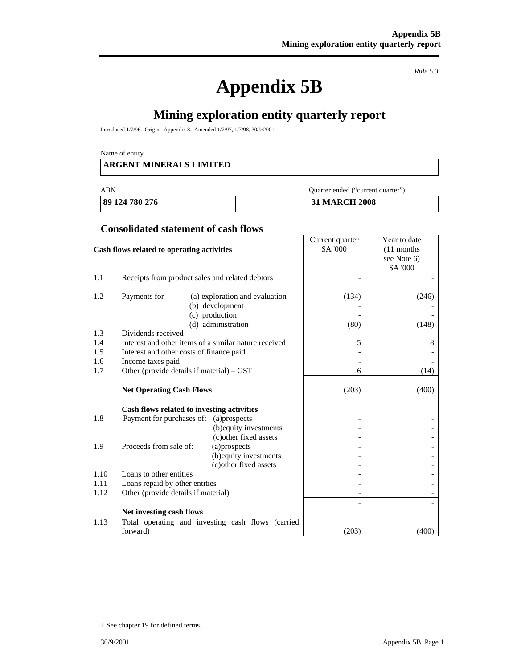# **Appendix 5B**

*Rule 5.3* 

٦

# **Mining exploration entity quarterly report**

Introduced 1/7/96. Origin: Appendix 8. Amended 1/7/97, 1/7/98, 30/9/2001.

Name of entity

#### **ARGENT MINERALS LIMITED**

#### ABN Quarter ended ("current quarter")

**89 124 780 276 31 MARCH 2008** 

#### **Consolidated statement of cash flows**

| Cash flows related to operating activities |                                                       |                                                                                           | Current quarter<br><b>\$A '000</b> | Year to date<br>$(11$ months<br>see Note 6)<br>\$A '000 |
|--------------------------------------------|-------------------------------------------------------|-------------------------------------------------------------------------------------------|------------------------------------|---------------------------------------------------------|
| 1.1                                        | Receipts from product sales and related debtors       |                                                                                           |                                    |                                                         |
| 1.2                                        | Payments for                                          | (a) exploration and evaluation<br>(b) development<br>(c) production<br>(d) administration | (134)<br>(80)                      | (246)<br>(148)                                          |
| 1.3                                        | Dividends received                                    |                                                                                           |                                    |                                                         |
| 1.4                                        | Interest and other items of a similar nature received |                                                                                           | 5                                  | 8                                                       |
| 1.5                                        | Interest and other costs of finance paid              |                                                                                           |                                    |                                                         |
| 1.6                                        | Income taxes paid                                     |                                                                                           |                                    |                                                         |
| 1.7                                        | Other (provide details if material) – GST             |                                                                                           | 6                                  | (14)                                                    |
|                                            | <b>Net Operating Cash Flows</b>                       |                                                                                           | (203)                              | (400)                                                   |
|                                            |                                                       |                                                                                           |                                    |                                                         |
| 1.8                                        | Cash flows related to investing activities            |                                                                                           |                                    |                                                         |
|                                            | Payment for purchases of: (a) prospects               | (b) equity investments                                                                    |                                    |                                                         |
|                                            |                                                       | (c) other fixed assets                                                                    |                                    |                                                         |
| 1.9                                        | Proceeds from sale of:                                | (a)prospects                                                                              |                                    |                                                         |
|                                            |                                                       | (b) equity investments                                                                    |                                    |                                                         |
|                                            |                                                       | (c) other fixed assets                                                                    |                                    |                                                         |
| 1.10                                       | Loans to other entities                               |                                                                                           |                                    |                                                         |
| 1.11                                       | Loans repaid by other entities                        |                                                                                           |                                    |                                                         |
| 1.12                                       | Other (provide details if material)                   |                                                                                           |                                    |                                                         |
|                                            |                                                       |                                                                                           |                                    |                                                         |
|                                            | Net investing cash flows                              |                                                                                           |                                    |                                                         |
| 1.13                                       | forward)                                              | Total operating and investing cash flows (carried                                         | (203)                              | (400)                                                   |

<sup>+</sup> See chapter 19 for defined terms.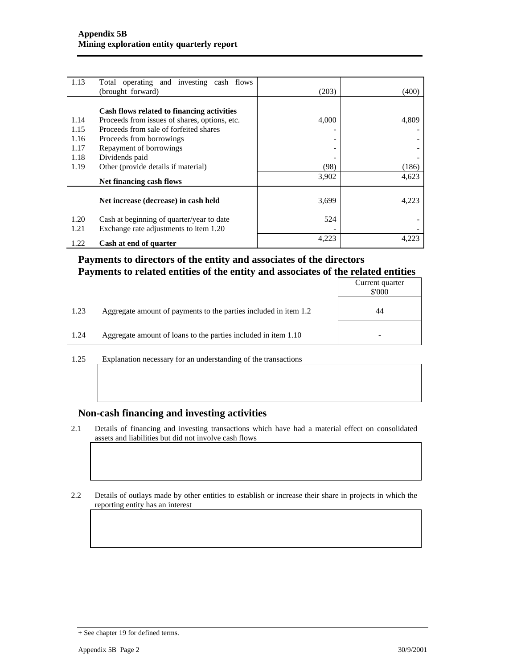| 1.13 | Total operating and investing cash flows      |       |       |
|------|-----------------------------------------------|-------|-------|
|      | (brought forward)                             | (203) | (400) |
|      |                                               |       |       |
|      | Cash flows related to financing activities    |       |       |
| 1.14 | Proceeds from issues of shares, options, etc. | 4,000 | 4,809 |
| 1.15 | Proceeds from sale of forfeited shares        |       |       |
| 1.16 | Proceeds from borrowings                      |       |       |
| 1.17 | Repayment of borrowings                       |       |       |
| 1.18 | Dividends paid                                |       |       |
| 1.19 | Other (provide details if material)           | (98)  | (186) |
|      | Net financing cash flows                      | 3,902 | 4,623 |
|      |                                               |       |       |
|      | Net increase (decrease) in cash held          | 3,699 | 4.223 |
| 1.20 | Cash at beginning of quarter/year to date     | 524   |       |
| 1.21 | Exchange rate adjustments to item 1.20        |       |       |
| 1.22 | Cash at end of quarter                        | 4,223 | 4.223 |

#### **Payments to directors of the entity and associates of the directors Payments to related entities of the entity and associates of the related entities**

|      |                                                                  | Current quarter<br>\$'000 |
|------|------------------------------------------------------------------|---------------------------|
| 1.23 | Aggregate amount of payments to the parties included in item 1.2 | 44                        |
| 1.24 | Aggregate amount of loans to the parties included in item 1.10   |                           |

1.25 Explanation necessary for an understanding of the transactions

#### **Non-cash financing and investing activities**

2.1 Details of financing and investing transactions which have had a material effect on consolidated assets and liabilities but did not involve cash flows

2.2 Details of outlays made by other entities to establish or increase their share in projects in which the reporting entity has an interest

<sup>+</sup> See chapter 19 for defined terms.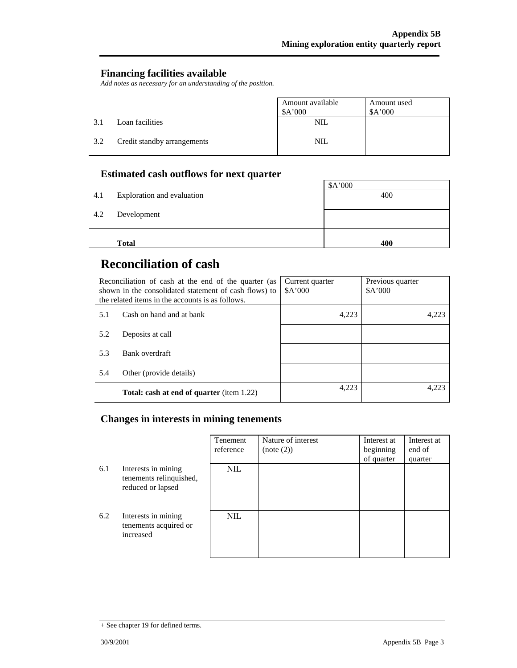#### **Financing facilities available**

*Add notes as necessary for an understanding of the position.* 

|     |                             | Amount available<br>\$A'000 | Amount used<br>A'000 |
|-----|-----------------------------|-----------------------------|----------------------|
| 3.1 | Loan facilities             | NIL                         |                      |
| 3.2 | Credit standby arrangements | NIL                         |                      |

### **Estimated cash outflows for next quarter**

|     | <b>Total</b>               | 400     |
|-----|----------------------------|---------|
| 4.2 | Development                |         |
| 4.1 | Exploration and evaluation | 400     |
|     |                            | \$A'000 |

# **Reconciliation of cash**

| Reconciliation of cash at the end of the quarter (as<br>shown in the consolidated statement of cash flows) to<br>the related items in the accounts is as follows. |                                                  | Current quarter<br>A'000 | Previous quarter<br>A'000 |
|-------------------------------------------------------------------------------------------------------------------------------------------------------------------|--------------------------------------------------|--------------------------|---------------------------|
| 5.1                                                                                                                                                               | Cash on hand and at bank                         | 4,223                    | 4,223                     |
| 5.2                                                                                                                                                               | Deposits at call                                 |                          |                           |
| 5.3                                                                                                                                                               | Bank overdraft                                   |                          |                           |
| 5.4                                                                                                                                                               | Other (provide details)                          |                          |                           |
|                                                                                                                                                                   | <b>Total: cash at end of quarter</b> (item 1.22) | 4.223                    | 4.223                     |

## **Changes in interests in mining tenements**

|     |                                                                     | Tenement<br>reference | Nature of interest<br>(note (2)) | Interest at<br>beginning<br>of quarter | Interest at<br>end of<br>quarter |
|-----|---------------------------------------------------------------------|-----------------------|----------------------------------|----------------------------------------|----------------------------------|
| 6.1 | Interests in mining<br>tenements relinquished,<br>reduced or lapsed | <b>NIL</b>            |                                  |                                        |                                  |
| 6.2 | Interests in mining<br>tenements acquired or<br>increased           | <b>NIL</b>            |                                  |                                        |                                  |

<sup>+</sup> See chapter 19 for defined terms.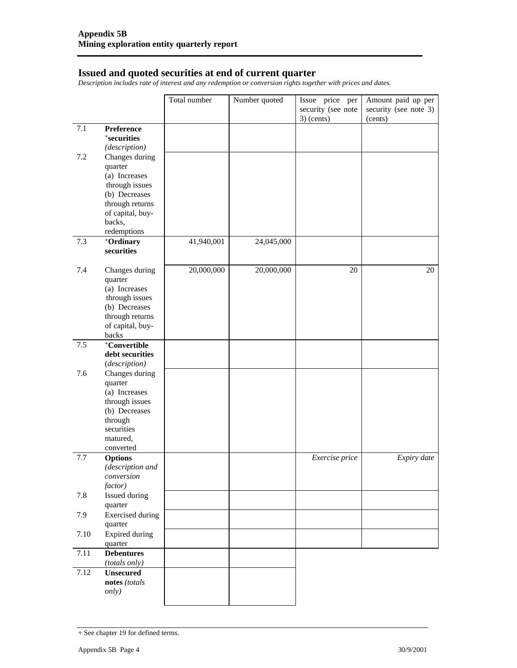#### **Issued and quoted securities at end of current quarter**

*Description includes rate of interest and any redemption or conversion rights together with prices and dates.* 

|      |                                                                                                                                 | Total number | Number quoted | Issue price per<br>security (see note<br>$3)$ (cents) | Amount paid up per<br>security (see note 3)<br>(cents) |
|------|---------------------------------------------------------------------------------------------------------------------------------|--------------|---------------|-------------------------------------------------------|--------------------------------------------------------|
| 7.1  | Preference<br><i><b>*securities</b></i><br>(description)                                                                        |              |               |                                                       |                                                        |
| 7.2  | Changes during<br>quarter<br>(a) Increases<br>through issues<br>(b) Decreases<br>through returns<br>of capital, buy-<br>backs,  |              |               |                                                       |                                                        |
|      | redemptions                                                                                                                     |              |               |                                                       |                                                        |
| 7.3  | +Ordinary<br>securities                                                                                                         | 41,940,001   | 24,045,000    |                                                       |                                                        |
| 7.4  | Changes during<br>quarter<br>(a) Increases<br>through issues<br>(b) Decreases<br>through returns<br>of capital, buy-<br>backs   | 20,000,000   | 20,000,000    | 20                                                    | 20                                                     |
| 7.5  | <sup>+</sup> Convertible                                                                                                        |              |               |                                                       |                                                        |
|      | debt securities<br>(description)                                                                                                |              |               |                                                       |                                                        |
| 7.6  | Changes during<br>quarter<br>(a) Increases<br>through issues<br>(b) Decreases<br>through<br>securities<br>matured,<br>converted |              |               |                                                       |                                                        |
| 7.7  | <b>Options</b><br>(description and<br>conversion<br>factor)                                                                     |              |               | Exercise price                                        | Expiry date                                            |
| 7.8  | Issued during<br>quarter                                                                                                        |              |               |                                                       |                                                        |
| 7.9  | <b>Exercised</b> during<br>quarter                                                                                              |              |               |                                                       |                                                        |
| 7.10 | <b>Expired during</b><br>quarter                                                                                                |              |               |                                                       |                                                        |
| 7.11 | <b>Debentures</b><br>(totals only)                                                                                              |              |               |                                                       |                                                        |
| 7.12 | <b>Unsecured</b><br>notes (totals<br>only)                                                                                      |              |               |                                                       |                                                        |

<sup>+</sup> See chapter 19 for defined terms.